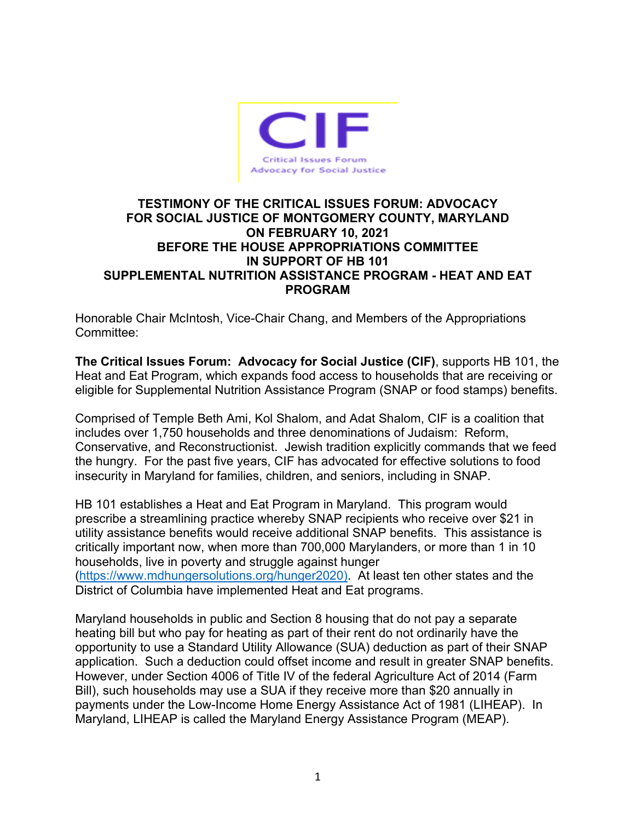

## **TESTIMONY OF THE CRITICAL ISSUES FORUM: ADVOCACY FOR SOCIAL JUSTICE OF MONTGOMERY COUNTY, MARYLAND ON FEBRUARY 10, 2021 BEFORE THE HOUSE APPROPRIATIONS COMMITTEE IN SUPPORT OF HB 101 SUPPLEMENTAL NUTRITION ASSISTANCE PROGRAM - HEAT AND EAT PROGRAM**

Honorable Chair McIntosh, Vice-Chair Chang, and Members of the Appropriations Committee:

**The Critical Issues Forum: Advocacy for Social Justice (CIF)**, supports HB 101, the Heat and Eat Program, which expands food access to households that are receiving or eligible for Supplemental Nutrition Assistance Program (SNAP or food stamps) benefits.

Comprised of Temple Beth Ami, Kol Shalom, and Adat Shalom, CIF is a coalition that includes over 1,750 households and three denominations of Judaism: Reform, Conservative, and Reconstructionist. Jewish tradition explicitly commands that we feed the hungry. For the past five years, CIF has advocated for effective solutions to food insecurity in Maryland for families, children, and seniors, including in SNAP.

HB 101 establishes a Heat and Eat Program in Maryland. This program would prescribe a streamlining practice whereby SNAP recipients who receive over \$21 in utility assistance benefits would receive additional SNAP benefits. This assistance is critically important now, when more than 700,000 Marylanders, or more than 1 in 10 households, live in poverty and struggle against hunger

(https://www.mdhungersolutions.org/hunger2020). At least ten other states and the District of Columbia have implemented Heat and Eat programs.

Maryland households in public and Section 8 housing that do not pay a separate heating bill but who pay for heating as part of their rent do not ordinarily have the opportunity to use a Standard Utility Allowance (SUA) deduction as part of their SNAP application. Such a deduction could offset income and result in greater SNAP benefits. However, under Section 4006 of Title IV of the federal Agriculture Act of 2014 (Farm Bill), such households may use a SUA if they receive more than \$20 annually in payments under the Low-Income Home Energy Assistance Act of 1981 (LIHEAP). In Maryland, LIHEAP is called the Maryland Energy Assistance Program (MEAP).